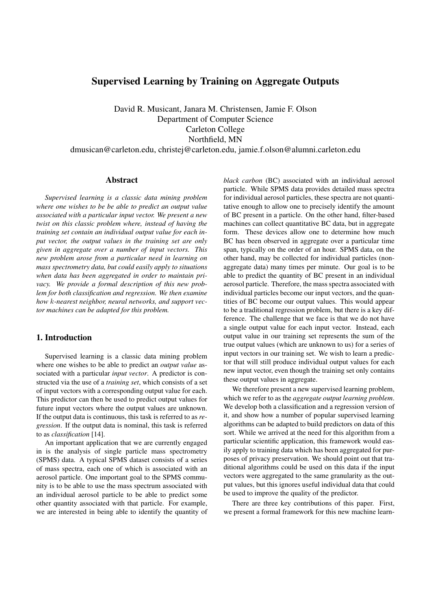# Supervised Learning by Training on Aggregate Outputs

David R. Musicant, Janara M. Christensen, Jamie F. Olson Department of Computer Science Carleton College Northfield, MN

dmusican@carleton.edu, christej@carleton.edu, jamie.f.olson@alumni.carleton.edu

### Abstract

*Supervised learning is a classic data mining problem where one wishes to be be able to predict an output value associated with a particular input vector. We present a new twist on this classic problem where, instead of having the training set contain an individual output value for each input vector, the output values in the training set are only given in aggregate over a number of input vectors. This new problem arose from a particular need in learning on mass spectrometry data, but could easily apply to situations when data has been aggregated in order to maintain privacy. We provide a formal description of this new problem for both classification and regression. We then examine how* k*-nearest neighbor, neural networks, and support vector machines can be adapted for this problem.*

# 1. Introduction

Supervised learning is a classic data mining problem where one wishes to be able to predict an *output value* associated with a particular *input vector*. A predictor is constructed via the use of a *training set*, which consists of a set of input vectors with a corresponding output value for each. This predictor can then be used to predict output values for future input vectors where the output values are unknown. If the output data is continuous, this task is referred to as *regression*. If the output data is nominal, this task is referred to as *classification* [14].

An important application that we are currently engaged in is the analysis of single particle mass spectrometry (SPMS) data. A typical SPMS dataset consists of a series of mass spectra, each one of which is associated with an aerosol particle. One important goal to the SPMS community is to be able to use the mass spectrum associated with an individual aerosol particle to be able to predict some other quantity associated with that particle. For example, we are interested in being able to identify the quantity of *black carbon* (BC) associated with an individual aerosol particle. While SPMS data provides detailed mass spectra for individual aerosol particles, these spectra are not quantitative enough to allow one to precisely identify the amount of BC present in a particle. On the other hand, filter-based machines can collect quantitative BC data, but in aggregate form. These devices allow one to determine how much BC has been observed in aggregate over a particular time span, typically on the order of an hour. SPMS data, on the other hand, may be collected for individual particles (nonaggregate data) many times per minute. Our goal is to be able to predict the quantity of BC present in an individual aerosol particle. Therefore, the mass spectra associated with individual particles become our input vectors, and the quantities of BC become our output values. This would appear to be a traditional regression problem, but there is a key difference. The challenge that we face is that we do not have a single output value for each input vector. Instead, each output value in our training set represents the sum of the true output values (which are unknown to us) for a series of input vectors in our training set. We wish to learn a predictor that will still produce individual output values for each new input vector, even though the training set only contains these output values in aggregate.

We therefore present a new supervised learning problem, which we refer to as the *aggregate output learning problem*. We develop both a classification and a regression version of it, and show how a number of popular supervised learning algorithms can be adapted to build predictors on data of this sort. While we arrived at the need for this algorithm from a particular scientific application, this framework would easily apply to training data which has been aggregated for purposes of privacy preservation. We should point out that traditional algorithms could be used on this data if the input vectors were aggregated to the same granularity as the output values, but this ignores useful individual data that could be used to improve the quality of the predictor.

There are three key contributions of this paper. First, we present a formal framework for this new machine learn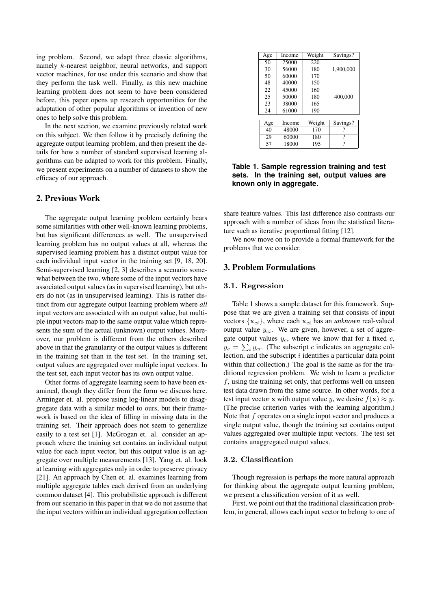ing problem. Second, we adapt three classic algorithms, namely k-nearest neighbor, neural networks, and support vector machines, for use under this scenario and show that they perform the task well. Finally, as this new machine learning problem does not seem to have been considered before, this paper opens up research opportunities for the adaptation of other popular algorithms or invention of new ones to help solve this problem.

In the next section, we examine previously related work on this subject. We then follow it by precisely defining the aggregate output learning problem, and then present the details for how a number of standard supervised learning algorithms can be adapted to work for this problem. Finally, we present experiments on a number of datasets to show the efficacy of our approach.

### 2. Previous Work

The aggregate output learning problem certainly bears some similarities with other well-known learning problems, but has significant differences as well. The unsupervised learning problem has no output values at all, whereas the supervised learning problem has a distinct output value for each individual input vector in the training set [9, 18, 20]. Semi-supervised learning [2, 3] describes a scenario somewhat between the two, where some of the input vectors have associated output values (as in supervised learning), but others do not (as in unsupervised learning). This is rather distinct from our aggregate output learning problem where *all* input vectors are associated with an output value, but multiple input vectors map to the same output value which represents the sum of the actual (unknown) output values. Moreover, our problem is different from the others described above in that the granularity of the output values is different in the training set than in the test set. In the training set, output values are aggregated over multiple input vectors. In the test set, each input vector has its own output value.

Other forms of aggregate learning seem to have been examined, though they differ from the form we discuss here. Arminger et. al. propose using log-linear models to disaggregate data with a similar model to ours, but their framework is based on the idea of filling in missing data in the training set. Their approach does not seem to generalize easily to a test set [1]. McGrogan et. al. consider an approach where the training set contains an individual output value for each input vector, but this output value is an aggregate over multiple measurements [13]. Yang et. al. look at learning with aggregates only in order to preserve privacy [21]. An approach by Chen et. al. examines learning from multiple aggregate tables each derived from an underlying common dataset [4]. This probabilistic approach is different from our scenario in this paper in that we do not assume that the input vectors within an individual aggregation collection

| Age | Income        | Weight | Savings?  |
|-----|---------------|--------|-----------|
| 50  | 75000         | 220    |           |
| 30  | 56000         | 180    | 1,900,000 |
| 50  | 60000         | 170    |           |
| 48  | 40000         | 150    |           |
| 22  | 45000         | 160    |           |
| 25  | 50000         | 180    | 400,000   |
| 23  | 38000         | 165    |           |
| 24  | 61000         | 190    |           |
|     |               |        |           |
| Age | <b>Income</b> | Weight | Savings?  |
| 40  | 48000         | 170    | ?         |
| 29  | 60000         | 180    | ?         |
| 57  | 18000         | 195    | ?         |

**Table 1. Sample regression training and test sets. In the training set, output values are known only in aggregate.**

share feature values. This last difference also contrasts our approach with a number of ideas from the statistical literature such as iterative proportional fitting [12].

We now move on to provide a formal framework for the problems that we consider.

### 3. Problem Formulations

### 3.1. Regression

Table 1 shows a sample dataset for this framework. Suppose that we are given a training set that consists of input vectors  $\{x_{ci}\}$ , where each  $x_{ci}$  has an *unknown* real-valued output value  $y_{ci}$ . We are given, however, a set of aggregate output values  $y_c$ , where we know that for a fixed  $c$ ,  $y_c = \sum_i y_{ci}$ . (The subscript c indicates an aggregate collection, and the subscript  $i$  identifies a particular data point within that collection.) The goal is the same as for the traditional regression problem. We wish to learn a predictor  $f$ , using the training set only, that performs well on unseen test data drawn from the same source. In other words, for a test input vector x with output value y, we desire  $f(\mathbf{x}) \approx y$ . (The precise criterion varies with the learning algorithm.) Note that f operates on a single input vector and produces a single output value, though the training set contains output values aggregated over multiple input vectors. The test set contains unaggregated output values.

### 3.2. Classification

Though regression is perhaps the more natural approach for thinking about the aggregate output learning problem, we present a classification version of it as well.

First, we point out that the traditional classification problem, in general, allows each input vector to belong to one of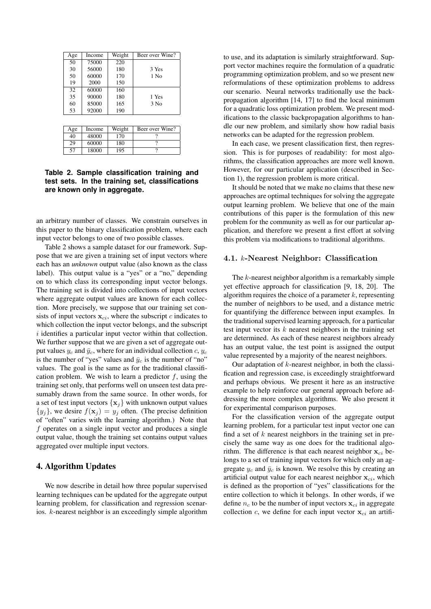| Age | Income | Weight | Beer over Wine? |
|-----|--------|--------|-----------------|
| 50  | 75000  | 220    |                 |
| 30  | 56000  | 180    | 3 Yes           |
| 50  | 60000  | 170    | $1$ No          |
| 19  | 2000   | 150    |                 |
| 32  | 60000  | 160    |                 |
| 35  | 90000  | 180    | 1 Yes           |
| 60  | 85000  | 165    | $3$ No          |
| 53  | 92000  | 190    |                 |
|     |        |        |                 |
| Age | Income | Weight | Beer over Wine? |

| $\cdots$ |       | 1121 | 100010010111100 |
|----------|-------|------|-----------------|
| 40       | 48000 | 70   |                 |
| 29       | 60000 | 180  |                 |
| 57       | 18000 | 195  |                 |

## **Table 2. Sample classification training and test sets. In the training set, classifications are known only in aggregate.**

an arbitrary number of classes. We constrain ourselves in this paper to the binary classification problem, where each input vector belongs to one of two possible classes.

Table 2 shows a sample dataset for our framework. Suppose that we are given a training set of input vectors where each has an *unknown* output value (also known as the class label). This output value is a "yes" or a "no," depending on to which class its corresponding input vector belongs. The training set is divided into collections of input vectors where aggregate output values are known for each collection. More precisely, we suppose that our training set consists of input vectors  $x_{ci}$ , where the subscript c indicates to which collection the input vector belongs, and the subscript  $i$  identifies a particular input vector within that collection. We further suppose that we are given a set of aggregate output values  $y_c$  and  $\bar{y}_c$ , where for an individual collection c,  $y_c$ is the number of "yes" values and  $\bar{y}_c$  is the number of "no" values. The goal is the same as for the traditional classification problem. We wish to learn a predictor  $f$ , using the training set only, that performs well on unseen test data presumably drawn from the same source. In other words, for a set of test input vectors  $\{x_i\}$  with unknown output values  $\{y_i\}$ , we desire  $f(\mathbf{x}_i) = y_i$  often. (The precise definition of "often" varies with the learning algorithm.) Note that f operates on a single input vector and produces a single output value, though the training set contains output values aggregated over multiple input vectors.

### 4. Algorithm Updates

We now describe in detail how three popular supervised learning techniques can be updated for the aggregate output learning problem, for classification and regression scenarios. k-nearest neighbor is an exceedingly simple algorithm to use, and its adaptation is similarly straightforward. Support vector machines require the formulation of a quadratic programming optimization problem, and so we present new reformulations of these optimization problems to address our scenario. Neural networks traditionally use the backpropagation algorithm [14, 17] to find the local minimum for a quadratic loss optimization problem. We present modifications to the classic backpropagation algorithms to handle our new problem, and similarly show how radial basis networks can be adapted for the regression problem.

In each case, we present classification first, then regression. This is for purposes of readability: for most algorithms, the classification approaches are more well known. However, for our particular application (described in Section 1), the regression problem is more critical.

It should be noted that we make no claims that these new approaches are optimal techniques for solving the aggregate output learning problem. We believe that one of the main contributions of this paper is the formulation of this new problem for the community as well as for our particular application, and therefore we present a first effort at solving this problem via modifications to traditional algorithms.

### 4.1. k-Nearest Neighbor: Classification

The k-nearest neighbor algorithm is a remarkably simple yet effective approach for classification [9, 18, 20]. The algorithm requires the choice of a parameter  $k$ , representing the number of neighbors to be used, and a distance metric for quantifying the difference between input examples. In the traditional supervised learning approach, for a particular test input vector its  $k$  nearest neighbors in the training set are determined. As each of these nearest neighbors already has an output value, the test point is assigned the output value represented by a majority of the nearest neighbors.

Our adaptation of  $k$ -nearest neighbor, in both the classification and regression case, is exceedingly straightforward and perhaps obvious. We present it here as an instructive example to help reinforce our general approach before addressing the more complex algorithms. We also present it for experimental comparison purposes.

For the classification version of the aggregate output learning problem, for a particular test input vector one can find a set of  $k$  nearest neighbors in the training set in precisely the same way as one does for the traditional algorithm. The difference is that each nearest neighbor  $x_{ci}$  belongs to a set of training input vectors for which only an aggregate  $y_c$  and  $\bar{y}_c$  is known. We resolve this by creating an artificial output value for each nearest neighbor  $x_{ci}$ , which is defined as the proportion of "yes" classifications for the entire collection to which it belongs. In other words, if we define  $n_c$  to be the number of input vectors  $x_{ci}$  in aggregate collection  $c$ , we define for each input vector  $x_{ci}$  an artifi-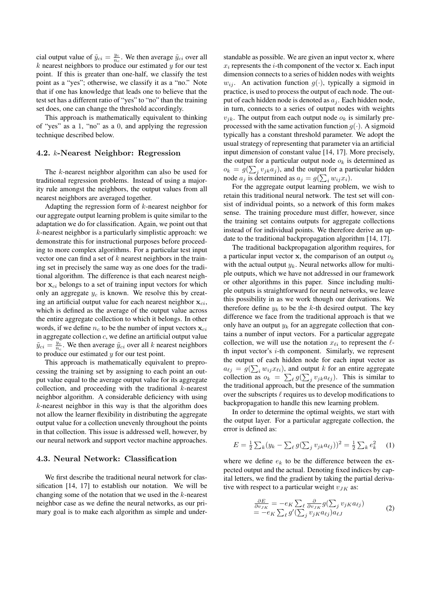cial output value of  $\tilde{y}_{ci} = \frac{y_c}{n_c}$ . We then average  $\tilde{y}_{ci}$  over all  $k$  nearest neighbors to produce our estimated  $y$  for our test point. If this is greater than one-half, we classify the test point as a "yes"; otherwise, we classify it as a "no." Note that if one has knowledge that leads one to believe that the test set has a different ratio of "yes" to "no" than the training set does, one can change the threshold accordingly.

This approach is mathematically equivalent to thinking of "yes" as a 1, "no" as a 0, and applying the regression technique described below.

#### 4.2. k-Nearest Neighbor: Regression

The k-nearest neighbor algorithm can also be used for traditional regression problems. Instead of using a majority rule amongst the neighbors, the output values from all nearest neighbors are averaged together.

Adapting the regression form of k-nearest neighbor for our aggregate output learning problem is quite similar to the adaptation we do for classification. Again, we point out that  $k$ -nearest neighbor is a particularly simplistic approach: we demonstrate this for instructional purposes before proceeding to more complex algorithms. For a particular test input vector one can find a set of  $k$  nearest neighbors in the training set in precisely the same way as one does for the traditional algorithm. The difference is that each nearest neighbor  $x_{ci}$  belongs to a set of training input vectors for which only an aggregate  $y_c$  is known. We resolve this by creating an artificial output value for each nearest neighbor  $x_{ci}$ , which is defined as the average of the output value across the entire aggregate collection to which it belongs. In other words, if we define  $n_c$  to be the number of input vectors  $\mathbf{x}_{ci}$ in aggregate collection  $c$ , we define an artificial output value  $\tilde{y}_{ci} = \frac{y_c}{n_c}$ . We then average  $\tilde{y}_{ci}$  over all k nearest neighbors to produce our estimated  $y$  for our test point.

This approach is mathematically equivalent to preprocessing the training set by assigning to each point an output value equal to the average output value for its aggregate collection, and proceeding with the traditional  $k$ -nearest neighbor algorithm. A considerable deficiency with using  $k$ -nearest neighbor in this way is that the algorithm does not allow the learner flexibility in distributing the aggregate output value for a collection unevenly throughout the points in that collection. This issue is addressed well, however, by our neural network and support vector machine approaches.

#### 4.3. Neural Network: Classification

We first describe the traditional neural network for classification [14, 17] to establish our notation. We will be changing some of the notation that we used in the k-nearest neighbor case as we define the neural networks, as our primary goal is to make each algorithm as simple and understandable as possible. We are given an input vector x, where  $x_i$  represents the *i*-th component of the vector x. Each input dimension connects to a series of hidden nodes with weights  $w_{ij}$ . An activation function  $q(\cdot)$ , typically a sigmoid in practice, is used to process the output of each node. The output of each hidden node is denoted as  $a_i$ . Each hidden node, in turn, connects to a series of output nodes with weights  $v_{ik}$ . The output from each output node  $o_k$  is similarly preprocessed with the same activation function  $g(\cdot)$ . A sigmoid typically has a constant threshold parameter. We adopt the usual strategy of representing that parameter via an artificial input dimension of constant value [14, 17]. More precisely, the output for a particular output node  $o_k$  is determined as  $o_k = g(\sum_j v_{jk} a_j)$ , and the output for a particular hidden node  $a_j$  is determined as  $a_j = g(\sum_i w_{ij} x_i)$ .

For the aggregate output learning problem, we wish to retain this traditional neural network. The test set will consist of individual points, so a network of this form makes sense. The training procedure must differ, however, since the training set contains outputs for aggregate collections instead of for individual points. We therefore derive an update to the traditional backpropagation algorithm [14, 17].

The traditional backpropagation algorithm requires, for a particular input vector  $x$ , the comparison of an output  $o_k$ with the actual output  $y_k$ . Neural networks allow for multiple outputs, which we have not addressed in our framework or other algorithms in this paper. Since including multiple outputs is straightforward for neural networks, we leave this possibility in as we work though our derivations. We therefore define  $y_k$  to be the k-th desired output. The key difference we face from the traditional approach is that we only have an output  $y_k$  for an aggregate collection that contains a number of input vectors. For a particular aggregate collection, we will use the notation  $x_{\ell i}$  to represent the  $\ell$ th input vector's  $i$ -th component. Similarly, we represent the output of each hidden node for each input vector as  $a_{\ell j} = g(\sum_i w_{ij} x_{\ell i})$ , and output k for an entire aggregate collection as  $o_k = \sum_{\ell} g(\sum_j v_{jk} a_{\ell j})$ . This is similar to the traditional approach, but the presence of the summation over the subscripts  $\ell$  requires us to develop modifications to backpropagation to handle this new learning problem.

In order to determine the optimal weights, we start with the output layer. For a particular aggregate collection, the error is defined as:

$$
E = \frac{1}{2} \sum_{k} (y_k - \sum_{\ell} g(\sum_{j} v_{jk} a_{\ell j}))^2 = \frac{1}{2} \sum_{k} e_k^2 \quad (1)
$$

where we define  $e_k$  to be the difference between the expected output and the actual. Denoting fixed indices by capital letters, we find the gradient by taking the partial derivative with respect to a particular weight  $v_{JK}$  as:

$$
\frac{\partial E}{\partial v_{JK}} = -e_K \sum_{\ell} \frac{\partial}{\partial v_{JK}} g(\sum_j v_{jK} a_{\ell j})
$$
  
=  $-e_K \sum_{\ell} g'(\sum_j v_{jK} a_{\ell j}) a_{\ell J}$  (2)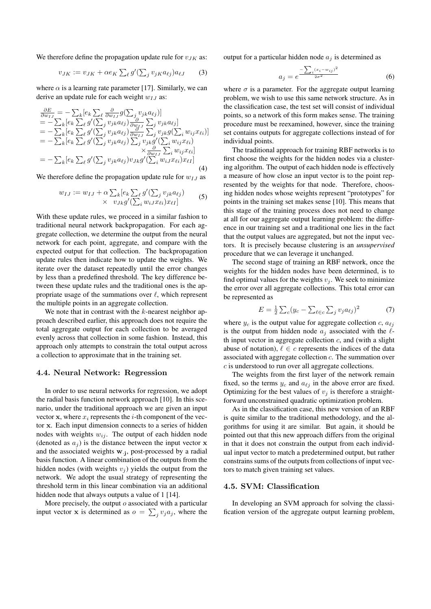We therefore define the propagation update rule for  $v_{JK}$  as:

$$
v_{JK} := v_{JK} + \alpha e_K \sum_{\ell} g'(\sum_j v_{jK} a_{\ell j}) a_{\ell J} \qquad (3)
$$

where  $\alpha$  is a learning rate parameter [17]. Similarly, we can derive an update rule for each weight  $w_{IJ}$  as:

$$
\frac{\partial E}{\partial w_{IJ}} = -\sum_{k} \left[ e_{k} \sum_{\ell} \frac{\partial}{\partial w_{IJ}} g(\sum_{j} v_{jk} a_{\ell j}) \right]
$$
\n
$$
= -\sum_{k} \left[ e_{k} \sum_{\ell} g'(\sum_{j} v_{jk} a_{\ell j}) \frac{\partial}{\partial w_{IJ}} \sum_{j} v_{jk} a_{\ell j} \right]
$$
\n
$$
= -\sum_{k} \left[ e_{k} \sum_{\ell} g'(\sum_{j} v_{jk} a_{\ell j}) \frac{\partial}{\partial w_{IJ}} \sum_{j} v_{jk} g(\sum_{i} w_{ij} x_{\ell i}) \right]
$$
\n
$$
= -\sum_{k} \left[ e_{k} \sum_{\ell} g'(\sum_{j} v_{jk} a_{\ell j}) \frac{\partial}{\partial x_{jj}} \sum_{j} v_{jk} g'(\sum_{i} w_{ij} x_{\ell i}) \frac{\partial}{\partial w_{IJ}} \sum_{j} w_{ij} x_{\ell i} \right]
$$
\n
$$
= -\sum_{k} \left[ e_{k} \sum_{\ell} g'(\sum_{j} v_{jk} a_{\ell j}) v_{Jk} g'(\sum_{i} w_{ij} x_{\ell i}) x_{\ell I} \right]
$$
\n(4)

We therefore define the propagation update rule for  $w_{IJ}$  as

$$
w_{IJ} := w_{IJ} + \alpha \sum_k [e_k \sum_{\ell} g'(\sum_j v_{jk} a_{\ell j})
$$
  
 
$$
\times v_{Jk} g'(\sum_i w_{iJ} x_{\ell i}) x_{\ell I}]
$$
 (5)

With these update rules, we proceed in a similar fashion to traditional neural network backpropagation. For each aggregate collection, we determine the output from the neural network for each point, aggregate, and compare with the expected output for that collection. The backpropagation update rules then indicate how to update the weights. We iterate over the dataset repeatedly until the error changes by less than a predefined threshold. The key difference between these update rules and the traditional ones is the appropriate usage of the summations over  $\ell$ , which represent the multiple points in an aggregate collection.

We note that in contrast with the  $k$ -nearest neighbor approach described earlier, this approach does not require the total aggregate output for each collection to be averaged evenly across that collection in some fashion. Instead, this approach only attempts to constrain the total output across a collection to approximate that in the training set.

#### 4.4. Neural Network: Regression

In order to use neural networks for regression, we adopt the radial basis function network approach [10]. In this scenario, under the traditional approach we are given an input vector x, where  $x_i$  represents the *i*-th component of the vector x. Each input dimension connects to a series of hidden nodes with weights  $w_{ij}$ . The output of each hidden node (denoted as  $a_i$ ) is the distance between the input vector x and the associated weights  $w_{.j}$ , post-processed by a radial basis function. A linear combination of the outputs from the hidden nodes (with weights  $v_j$ ) yields the output from the network. We adopt the usual strategy of representing the threshold term in this linear combination via an additional hidden node that always outputs a value of 1 [14].

More precisely, the output  $o$  associated with a particular input vector **x** is determined as  $o = \sum_j v_j a_j$ , where the

output for a particular hidden node  $a_i$  is determined as

$$
a_j = e^{-\frac{\sum_i (x_i - w_{ij})^2}{2\sigma^2}}
$$
 (6)

where  $\sigma$  is a parameter. For the aggregate output learning problem, we wish to use this same network structure. As in the classification case, the test set will consist of individual points, so a network of this form makes sense. The training procedure must be reexamined, however, since the training set contains outputs for aggregate collections instead of for individual points.

The traditional approach for training RBF networks is to first choose the weights for the hidden nodes via a clustering algorithm. The output of each hidden node is effectively a measure of how close an input vector is to the point represented by the weights for that node. Therefore, choosing hidden nodes whose weights represent "prototypes" for points in the training set makes sense [10]. This means that this stage of the training process does not need to change at all for our aggregate output learning problem: the difference in our training set and a traditional one lies in the fact that the output values are aggregated, but not the input vectors. It is precisely because clustering is an *unsupervised* procedure that we can leverage it unchanged.

The second stage of training an RBF network, once the weights for the hidden nodes have been determined, is to find optimal values for the weights  $v_j$ . We seek to minimize the error over all aggregate collections. This total error can be represented as

$$
E = \frac{1}{2} \sum_{c} (y_c - \sum_{\ell \in c} \sum_{j} v_j a_{\ell j})^2
$$
 (7)

where  $y_c$  is the output value for aggregate collection c,  $a_{ij}$ is the output from hidden node  $a_i$  associated with the  $\ell$ th input vector in aggregate collection  $c$ , and (with a slight abuse of notation),  $\ell \in c$  represents the indices of the data associated with aggregate collection c. The summation over c is understood to run over all aggregate collections.

The weights from the first layer of the network remain fixed, so the terms  $y_c$  and  $a_{\ell j}$  in the above error are fixed. Optimizing for the best values of  $v_j$  is therefore a straightforward unconstrained quadratic optimization problem.

As in the classification case, this new version of an RBF is quite similar to the traditional methodology, and the algorithms for using it are similar. But again, it should be pointed out that this new approach differs from the original in that it does not constrain the output from each individual input vector to match a predetermined output, but rather constrains sums of the outputs from collections of input vectors to match given training set values.

### 4.5. SVM: Classification

In developing an SVM approach for solving the classification version of the aggregate output learning problem,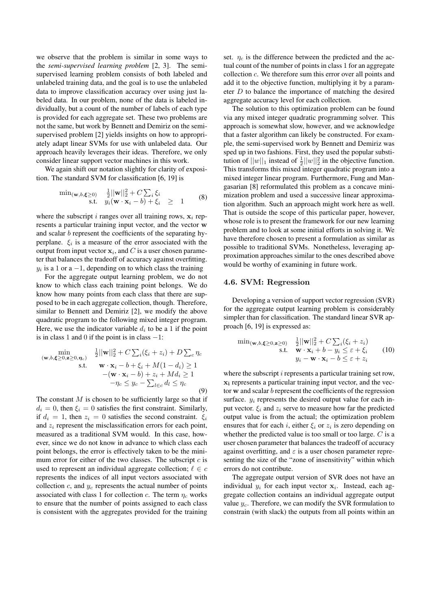we observe that the problem is similar in some ways to the *semi-supervised learning problem* [2, 3]. The semisupervised learning problem consists of both labeled and unlabeled training data, and the goal is to use the unlabeled data to improve classification accuracy over using just labeled data. In our problem, none of the data is labeled individually, but a count of the number of labels of each type is provided for each aggregate set. These two problems are not the same, but work by Bennett and Demiriz on the semisupervised problem [2] yields insights on how to appropriately adapt linear SVMs for use with unlabeled data. Our approach heavily leverages their ideas. Therefore, we only consider linear support vector machines in this work.

We again shift our notation slightly for clarity of exposition. The standard SVM for classification [6, 19] is

$$
\min_{\left(\mathbf{w},b,\boldsymbol{\xi}\geq0\right)} \quad \frac{1}{2}||\mathbf{w}||_2^2 + C\sum_i \xi_i
$$
\n
$$
\text{s.t.} \quad y_i(\mathbf{w}\cdot\mathbf{x}_i - b) + \xi_i \quad \geq \quad 1 \tag{8}
$$

where the subscript i ranges over all training rows,  $x_i$  represents a particular training input vector, and the vector w and scalar b represent the coefficients of the separating hyperplane.  $\xi_i$  is a measure of the error associated with the output from input vector  $x_i$ , and C is a user chosen parameter that balances the tradeoff of accuracy against overfitting.  $y_i$  is a 1 or a  $-1$ , depending on to which class the training

For the aggregate output learning problem, we do not know to which class each training point belongs. We do know how many points from each class that there are supposed to be in each aggregate collection, though. Therefore, similar to Bennett and Demiriz [2], we modify the above quadratic program to the following mixed integer program. Here, we use the indicator variable  $d_i$  to be a 1 if the point is in class 1 and 0 if the point is in class  $-1$ :

$$
\min_{\left(\mathbf{w},b,\boldsymbol{\xi}\geq0,\mathbf{z}\geq0,\boldsymbol{\eta}_c\right)}\quad \frac{1}{2}||\mathbf{w}||_2^2 + C\sum_i(\xi_i+z_i) + D\sum_c\eta_c
$$
\ns.t. 
$$
\mathbf{w}\cdot\mathbf{x}_i - b + \xi_i + M(1-d_i) \geq 1
$$
\n
$$
-(\mathbf{w}\cdot\mathbf{x}_i - b) + z_i + Md_i \geq 1
$$
\n
$$
-\eta_c \leq y_c - \sum_{l\in c}d_l \leq \eta_c
$$
\n(9)

The constant  $M$  is chosen to be sufficiently large so that if  $d_i = 0$ , then  $\xi_i = 0$  satisfies the first constraint. Similarly, if  $d_i = 1$ , then  $z_i = 0$  satisfies the second constraint.  $\xi_i$ and  $z_i$  represent the misclassification errors for each point, measured as a traditional SVM would. In this case, however, since we do not know in advance to which class each point belongs, the error is effectively taken to be the minimum error for either of the two classes. The subscript  $c$  is used to represent an individual aggregate collection;  $\ell \in c$ represents the indices of all input vectors associated with collection  $c$ , and  $y_c$  represents the actual number of points associated with class 1 for collection c. The term  $\eta_c$  works to ensure that the number of points assigned to each class is consistent with the aggregates provided for the training set.  $\eta_c$  is the difference between the predicted and the actual count of the number of points in class 1 for an aggregate collection c. We therefore sum this error over all points and add it to the objective function, multiplying it by a parameter  $D$  to balance the importance of matching the desired aggregate accuracy level for each collection.

The solution to this optimization problem can be found via any mixed integer quadratic programming solver. This approach is somewhat slow, however, and we acknowledge that a faster algorithm can likely be constructed. For example, the semi-supervised work by Bennett and Demiriz was sped up in two fashions. First, they used the popular substitution of  $||w||_1$  instead of  $\frac{1}{2}||w||_2^2$  in the objective function. This transforms this mixed integer quadratic program into a mixed integer linear program. Furthermore, Fung and Mangasarian [8] reformulated this problem as a concave minimization problem and used a successive linear approximation algorithm. Such an approach might work here as well. That is outside the scope of this particular paper, however, whose role is to present the framework for our new learning problem and to look at some initial efforts in solving it. We have therefore chosen to present a formulation as similar as possible to traditional SVMs. Nonetheless, leveraging approximation approaches similar to the ones described above would be worthy of examining in future work.

### 4.6. SVM: Regression

Developing a version of support vector regression (SVR) for the aggregate output learning problem is considerably simpler than for classification. The standard linear SVR approach [6, 19] is expressed as:

$$
\min(\mathbf{w}, b, \xi \ge 0, \mathbf{z} \ge 0) \quad \frac{1}{2} ||\mathbf{w}||_2^2 + C \sum_i (\xi_i + z_i)
$$
  
s.t. 
$$
\mathbf{w} \cdot \mathbf{x}_i + b - y_i \le \varepsilon + \xi_i
$$

$$
y_i - \mathbf{w} \cdot \mathbf{x}_i - b \le \varepsilon + z_i
$$
(10)

where the subscript *i* represents a particular training set row, x<sup>i</sup> represents a particular training input vector, and the vector w and scalar b represent the coefficients of the regression surface.  $y_i$  represents the desired output value for each input vector.  $\xi_i$  and  $z_i$  serve to measure how far the predicted output value is from the actual; the optimization problem ensures that for each *i*, either  $\xi_i$  or  $z_i$  is zero depending on whether the predicted value is too small or too large.  $C$  is a user chosen parameter that balances the tradeoff of accuracy against overfitting, and  $\varepsilon$  is a user chosen parameter representing the size of the "zone of insensitivity" within which errors do not contribute.

The aggregate output version of SVR does not have an individual  $y_i$  for each input vector  $x_i$ . Instead, each aggregate collection contains an individual aggregate output value  $y_c$ . Therefore, we can modify the SVR formulation to constrain (with slack) the outputs from all points within an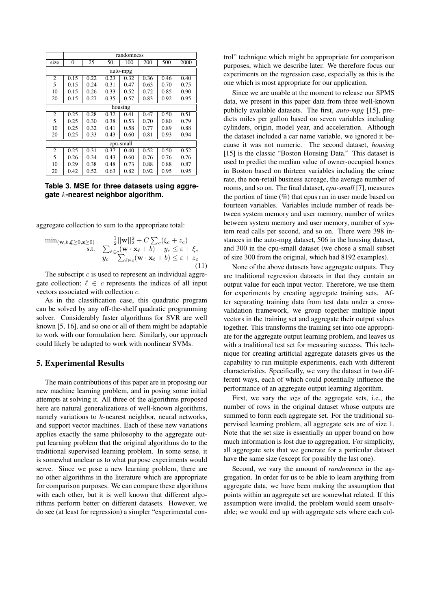|           | randomness |      |      |      |      |      |      |  |  |
|-----------|------------|------|------|------|------|------|------|--|--|
| size      | 0          | 25   | 50   | 100  | 200  | 500  | 2000 |  |  |
|           | auto-mpg   |      |      |      |      |      |      |  |  |
| 2         | 0.15       | 0.22 | 0.23 | 0.32 | 0.36 | 0.46 | 0.40 |  |  |
| 5         | 0.15       | 0.24 | 0.31 | 0.47 | 0.63 | 0.70 | 0.75 |  |  |
| 10        | 0.15       | 0.26 | 0.33 | 0.52 | 0.72 | 0.85 | 0.90 |  |  |
| 20        | 0.15       | 0.27 | 0.35 | 0.57 | 0.83 | 0.92 | 0.95 |  |  |
|           | housing    |      |      |      |      |      |      |  |  |
| 2         | 0.25       | 0.28 | 0.32 | 0.41 | 0.47 | 0.50 | 0.51 |  |  |
| 5         | 0.25       | 0.30 | 0.38 | 0.53 | 0.70 | 0.80 | 0.79 |  |  |
| 10        | 0.25       | 0.32 | 0.41 | 0.58 | 0.77 | 0.89 | 0.88 |  |  |
| 20        | 0.25       | 0.33 | 0.43 | 0.60 | 0.81 | 0.93 | 0.94 |  |  |
| cpu-small |            |      |      |      |      |      |      |  |  |
| 2         | 0.25       | 0.31 | 0.37 | 0.40 | 0.52 | 0.50 | 0.52 |  |  |
| 5         | 0.26       | 0.34 | 0.43 | 0.60 | 0.76 | 0.76 | 0.76 |  |  |
| 10        | 0.29       | 0.38 | 0.48 | 0.73 | 0.88 | 0.88 | 0.87 |  |  |
| 20        | 0.42       | 0.52 | 0.63 | 0.82 | 0.92 | 0.95 | 0.95 |  |  |

**Table 3. MSE for three datasets using aggregate** k**-nearest neighbor algorithm.**

aggregate collection to sum to the appropriate total:

$$
\min(\mathbf{w}, b, \xi \ge 0, \mathbf{z} \ge 0) \quad \frac{\frac{1}{2}||\mathbf{w}||_2^2 + C\sum_{c}(\xi_c + z_c)}{\text{s.t.} \quad \sum_{\ell \in c} (\mathbf{w} \cdot \mathbf{x}_{\ell} + b) - y_c \le \varepsilon + \xi_c} \ny_c - \sum_{\ell \in c} (\mathbf{w} \cdot \mathbf{x}_{\ell} + b) \le \varepsilon + z_c
$$
\n(11)

The subscript  $c$  is used to represent an individual aggregate collection;  $\ell \in c$  represents the indices of all input vectors associated with collection c.

As in the classification case, this quadratic program can be solved by any off-the-shelf quadratic programming solver. Considerably faster algorithms for SVR are well known [5, 16], and so one or all of them might be adaptable to work with our formulation here. Similarly, our approach could likely be adapted to work with nonlinear SVMs.

### 5. Experimental Results

The main contributions of this paper are in proposing our new machine learning problem, and in posing some initial attempts at solving it. All three of the algorithms proposed here are natural generalizations of well-known algorithms, namely variations to k-nearest neighbor, neural networks, and support vector machines. Each of these new variations applies exactly the same philosophy to the aggregate output learning problem that the original algorithms do to the traditional supervised learning problem. In some sense, it is somewhat unclear as to what purpose experiments would serve. Since we pose a new learning problem, there are no other algorithms in the literature which are appropriate for comparison purposes. We can compare these algorithms with each other, but it is well known that different algorithms perform better on different datasets. However, we do see (at least for regression) a simpler "experimental control" technique which might be appropriate for comparison purposes, which we describe later. We therefore focus our experiments on the regression case, especially as this is the one which is most appropriate for our application.

Since we are unable at the moment to release our SPMS data, we present in this paper data from three well-known publicly available datasets. The first, *auto-mpg* [15], predicts miles per gallon based on seven variables including cylinders, origin, model year, and acceleration. Although the dataset included a car name variable, we ignored it because it was not numeric. The second dataset, *housing* [15] is the classic "Boston Housing Data." This dataset is used to predict the median value of owner-occupied homes in Boston based on thirteen variables including the crime rate, the non-retail business acreage, the average number of rooms, and so on. The final dataset, *cpu-small* [7], measures the portion of time  $(\%)$  that cpus run in user mode based on fourteen variables. Variables include number of reads between system memory and user memory, number of writes between system memory and user memory, number of system read calls per second, and so on. There were 398 instances in the auto-mpg dataset, 506 in the housing dataset, and 300 in the cpu-small dataset (we chose a small subset of size 300 from the original, which had 8192 examples).

None of the above datasets have aggregate outputs. They are traditional regression datasets in that they contain an output value for each input vector. Therefore, we use them for experiments by creating aggregate training sets. After separating training data from test data under a crossvalidation framework, we group together multiple input vectors in the training set and aggregate their output values together. This transforms the training set into one appropriate for the aggregate output learning problem, and leaves us with a traditional test set for measuring success. This technique for creating artificial aggregate datasets gives us the capability to run multiple experiments, each with different characteristics. Specifically, we vary the dataset in two different ways, each of which could potentially influence the performance of an aggregate output learning algorithm.

First, we vary the *size* of the aggregate sets, i.e., the number of rows in the original dataset whose outputs are summed to form each aggregate set. For the traditional supervised learning problem, all aggregate sets are of size 1. Note that the set size is essentially an upper bound on how much information is lost due to aggregation. For simplicity, all aggregate sets that we generate for a particular dataset have the same size (except for possibly the last one).

Second, we vary the amount of *randomness* in the aggregation. In order for us to be able to learn anything from aggregate data, we have been making the assumption that points within an aggregate set are somewhat related. If this assumption were invalid, the problem would seem unsolvable; we would end up with aggregate sets where each col-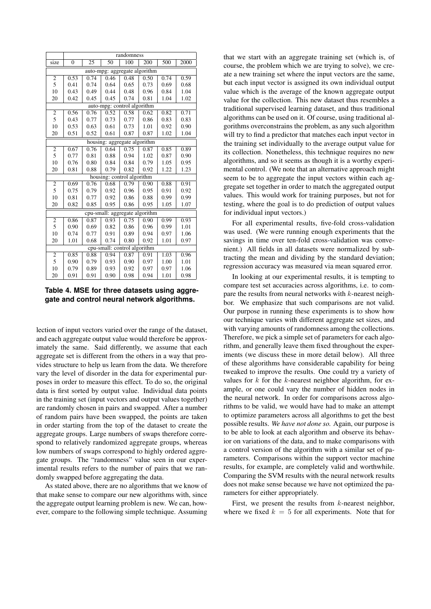|                               | randomness     |                 |                                |      |      |      |      |  |
|-------------------------------|----------------|-----------------|--------------------------------|------|------|------|------|--|
| size                          | $\overline{0}$ | $\overline{25}$ | 50                             | 100  | 200  | 500  | 2000 |  |
| auto-mpg: aggregate algorithm |                |                 |                                |      |      |      |      |  |
| $\overline{2}$                | 0.53           | 0.74            | 0.46                           | 0.48 | 0.50 | 0.74 | 0.59 |  |
| 5                             | 0.41           | 0.74            | 0.64                           | 0.65 | 0.73 | 0.69 | 0.68 |  |
| 10                            | 0.43           | 0.49            | 0.44                           | 0.48 | 0.96 | 0.84 | 1.04 |  |
| 20                            | 0.42           | 0.45            | 0.45                           | 0.74 | 0.81 | 1.04 | 1.02 |  |
|                               |                |                 | auto-mpg: control algorithm    |      |      |      |      |  |
| $\mathbf{2}$                  | 0.56           | 0.76            | 0.52                           | 0.58 | 0.62 | 0.82 | 0.71 |  |
| 5                             | 0.43           | 0.77            | 0.73                           | 0.77 | 0.86 | 0.83 | 0.83 |  |
| 10                            | 0.53           | 0.63            | 0.61                           | 0.73 | 1.01 | 0.92 | 0.90 |  |
| 20                            | 0.51           | 0.52            | 0.61                           | 0.87 | 0.87 | 1.02 | 1.04 |  |
|                               |                |                 | housing: aggregate algorithm   |      |      |      |      |  |
| $\boldsymbol{2}$              | 0.67           | 0.76            | 0.64                           | 0.75 | 0.87 | 0.85 | 0.89 |  |
| 5                             | 0.77           | 0.81            | 0.88                           | 0.94 | 1.02 | 0.87 | 0.90 |  |
| 10                            | 0.76           | 0.80            | 0.84                           | 0.84 | 0.79 | 1.05 | 0.95 |  |
| 20                            | 0.81           | 0.88            | 0.79                           | 0.82 | 0.92 | 1.22 | 1.23 |  |
|                               |                |                 | housing: control algorithm     |      |      |      |      |  |
| $\mathbf{2}$                  | 0.69           | 0.76            | 0.68                           | 0.79 | 0.90 | 0.88 | 0.91 |  |
| 5                             | 0.75           | 0.79            | 0.92                           | 0.96 | 0.95 | 0.91 | 0.92 |  |
| 10                            | 0.81           | 0.77            | 0.92                           | 0.86 | 0.88 | 0.99 | 0.99 |  |
| 20                            | 0.82           | 0.85            | 0.95                           | 0.86 | 0.95 | 1.05 | 1.07 |  |
|                               |                |                 | cpu-small: aggregate algorithm |      |      |      |      |  |
| $\overline{2}$                | 0.86           | 0.87            | 0.93                           | 0.75 | 0.90 | 0.99 | 0.93 |  |
| 5                             | 0.90           | 0.69            | 0.82                           | 0.86 | 0.96 | 0.99 | 1.01 |  |
| 10                            | 0.74           | 0.77            | 0.91                           | 0.89 | 0.94 | 0.97 | 1.06 |  |
| 20                            | 1.01           | 0.68            | 0.74                           | 0.80 | 0.92 | 1.01 | 0.97 |  |
| cpu-small: control algorithm  |                |                 |                                |      |      |      |      |  |
| 2                             | 0.85           | 0.88            | 0.94                           | 0.87 | 0.91 | 1.03 | 0.96 |  |
| 5                             | 0.90           | 0.79            | 0.93                           | 0.90 | 0.97 | 1.00 | 1.01 |  |
| 10                            | 0.79           | 0.89            | 0.93                           | 0.92 | 0.97 | 0.97 | 1.06 |  |
| 20                            | 0.91           | 0.91            | 0.90                           | 0.98 | 0.94 | 1.01 | 0.98 |  |

**Table 4. MSE for three datasets using aggregate and control neural network algorithms.**

lection of input vectors varied over the range of the dataset, and each aggregate output value would therefore be approximately the same. Said differently, we assume that each aggregate set is different from the others in a way that provides structure to help us learn from the data. We therefore vary the level of disorder in the data for experimental purposes in order to measure this effect. To do so, the original data is first sorted by output value. Individual data points in the training set (input vectors and output values together) are randomly chosen in pairs and swapped. After a number of random pairs have been swapped, the points are taken in order starting from the top of the dataset to create the aggregate groups. Large numbers of swaps therefore correspond to relatively randomized aggregate groups, whereas low numbers of swaps correspond to highly ordered aggregate groups. The "randomness" value seen in our experimental results refers to the number of pairs that we randomly swapped before aggregating the data.

As stated above, there are no algorithms that we know of that make sense to compare our new algorithms with, since the aggregate output learning problem is new. We can, however, compare to the following simple technique. Assuming

that we start with an aggregate training set (which is, of course, the problem which we are trying to solve), we create a new training set where the input vectors are the same, but each input vector is assigned its own individual output value which is the average of the known aggregate output value for the collection. This new dataset thus resembles a traditional supervised learning dataset, and thus traditional algorithms can be used on it. Of course, using traditional algorithms overconstrains the problem, as any such algorithm will try to find a predictor that matches each input vector in the training set individually to the average output value for its collection. Nonetheless, this technique requires no new algorithms, and so it seems as though it is a worthy experimental control. (We note that an alternative approach might seem to be to aggregate the input vectors within each aggregate set together in order to match the aggregated output values. This would work for training purposes, but not for testing, where the goal is to do prediction of output values for individual input vectors.)

For all experimental results, five-fold cross-validation was used. (We were running enough experiments that the savings in time over ten-fold cross-validation was convenient.) All fields in all datasets were normalized by subtracting the mean and dividing by the standard deviation; regression accuracy was measured via mean squared error.

In looking at our experimental results, it is tempting to compare test set accuracies across algorithms, i.e. to compare the results from neural networks with  $k$ -nearest neighbor. We emphasize that such comparisons are not valid. Our purpose in running these experiments is to show how our technique varies with different aggregate set sizes, and with varying amounts of randomness among the collections. Therefore, we pick a simple set of parameters for each algorithm, and generally leave them fixed throughout the experiments (we discuss these in more detail below). All three of these algorithms have considerable capability for being tweaked to improve the results. One could try a variety of values for  $k$  for the  $k$ -nearest neighbor algorithm, for example, or one could vary the number of hidden nodes in the neural network. In order for comparisons across algorithms to be valid, we would have had to make an attempt to optimize parameters across all algorithms to get the best possible results. *We have not done so.* Again, our purpose is to be able to look at each algorithm and observe its behavior on variations of the data, and to make comparisons with a control version of the algorithm with a similar set of parameters. Comparisons within the support vector machine results, for example, are completely valid and worthwhile. Comparing the SVM results with the neural network results does not make sense because we have not optimized the parameters for either appropriately.

First, we present the results from  $k$ -nearest neighbor, where we fixed  $k = 5$  for all experiments. Note that for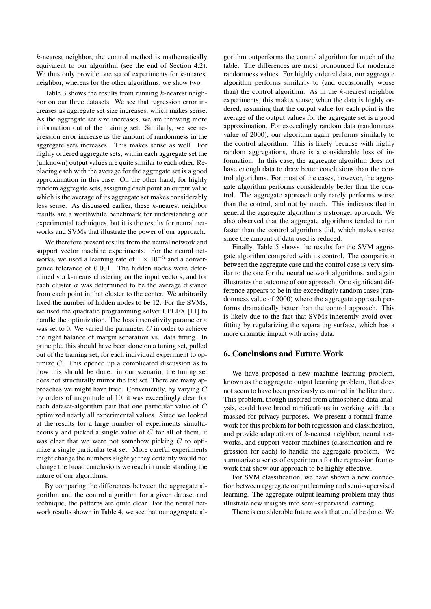$k$ -nearest neighbor, the control method is mathematically equivalent to our algorithm (see the end of Section 4.2). We thus only provide one set of experiments for  $k$ -nearest neighbor, whereas for the other algorithms, we show two.

Table 3 shows the results from running  $k$ -nearest neighbor on our three datasets. We see that regression error increases as aggregate set size increases, which makes sense. As the aggregate set size increases, we are throwing more information out of the training set. Similarly, we see regression error increase as the amount of randomness in the aggregate sets increases. This makes sense as well. For highly ordered aggregate sets, within each aggregate set the (unknown) output values are quite similar to each other. Replacing each with the average for the aggregate set is a good approximation in this case. On the other hand, for highly random aggregate sets, assigning each point an output value which is the average of its aggregate set makes considerably less sense. As discussed earlier, these k-nearest neighbor results are a worthwhile benchmark for understanding our experimental techniques, but it is the results for neural networks and SVMs that illustrate the power of our approach.

We therefore present results from the neural network and support vector machine experiments. For the neural networks, we used a learning rate of  $1 \times 10^{-5}$  and a convergence tolerance of 0.001. The hidden nodes were determined via k-means clustering on the input vectors, and for each cluster  $\sigma$  was determined to be the average distance from each point in that cluster to the center. We arbitrarily fixed the number of hidden nodes to be 12. For the SVMs, we used the quadratic programming solver CPLEX [11] to handle the optimization. The loss insensitivity parameter  $\varepsilon$ was set to 0. We varied the parameter  $C$  in order to achieve the right balance of margin separation vs. data fitting. In principle, this should have been done on a tuning set, pulled out of the training set, for each individual experiment to optimize C. This opened up a complicated discussion as to how this should be done: in our scenario, the tuning set does not structurally mirror the test set. There are many approaches we might have tried. Conveniently, by varying C by orders of magnitude of 10, it was exceedingly clear for each dataset-algorithm pair that one particular value of C optimized nearly all experimental values. Since we looked at the results for a large number of experiments simultaneously and picked a single value of C for all of them, it was clear that we were not somehow picking  $C$  to optimize a single particular test set. More careful experiments might change the numbers slightly; they certainly would not change the broad conclusions we reach in understanding the nature of our algorithms.

By comparing the differences between the aggregate algorithm and the control algorithm for a given dataset and technique, the patterns are quite clear. For the neural network results shown in Table 4, we see that our aggregate algorithm outperforms the control algorithm for much of the table. The differences are most pronounced for moderate randomness values. For highly ordered data, our aggregate algorithm performs similarly to (and occasionally worse than) the control algorithm. As in the  $k$ -nearest neighbor experiments, this makes sense; when the data is highly ordered, assuming that the output value for each point is the average of the output values for the aggregate set is a good approximation. For exceedingly random data (randomness value of 2000), our algorithm again performs similarly to the control algorithm. This is likely because with highly random aggregations, there is a considerable loss of information. In this case, the aggregate algorithm does not have enough data to draw better conclusions than the control algorithms. For most of the cases, however, the aggregate algorithm performs considerably better than the control. The aggregate approach only rarely performs worse than the control, and not by much. This indicates that in general the aggregate algorithm is a stronger approach. We also observed that the aggregate algorithms tended to run faster than the control algorithms did, which makes sense since the amount of data used is reduced.

Finally, Table 5 shows the results for the SVM aggregate algorithm compared with its control. The comparison between the aggregate case and the control case is very similar to the one for the neural network algorithms, and again illustrates the outcome of our approach. One significant difference appears to be in the exceedingly random cases (randomness value of 2000) where the aggregate approach performs dramatically better than the control approach. This is likely due to the fact that SVMs inherently avoid overfitting by regularizing the separating surface, which has a more dramatic impact with noisy data.

## 6. Conclusions and Future Work

We have proposed a new machine learning problem, known as the aggregate output learning problem, that does not seem to have been previously examined in the literature. This problem, though inspired from atmospheric data analysis, could have broad ramifications in working with data masked for privacy purposes. We present a formal framework for this problem for both regression and classification, and provide adaptations of k-nearest neighbor, neural networks, and support vector machines (classification and regression for each) to handle the aggregate problem. We summarize a series of experiments for the regression framework that show our approach to be highly effective.

For SVM classification, we have shown a new connection between aggregate output learning and semi-supervised learning. The aggregate output learning problem may thus illustrate new insights into semi-supervised learning.

There is considerable future work that could be done. We